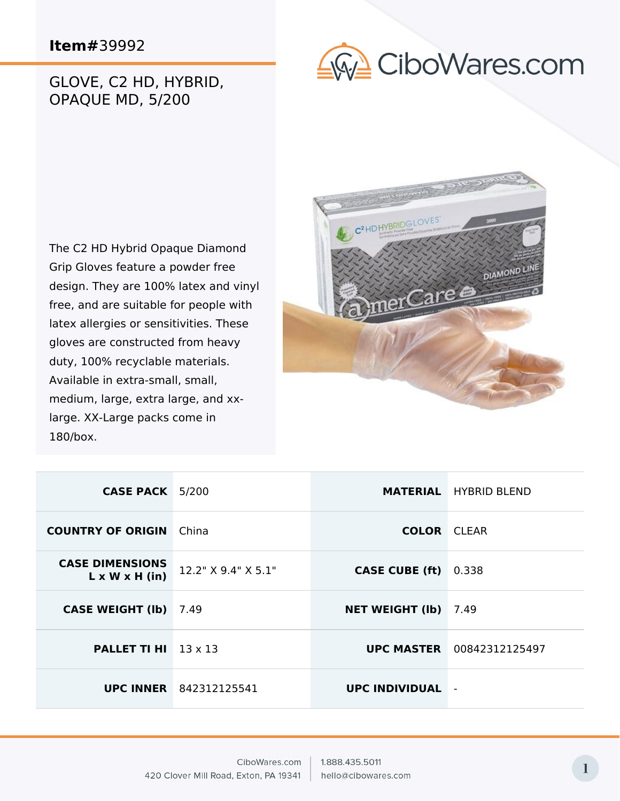## **Item#**39992

## GLOVE, C2 HD, HYBRID, OPAQUE MD, 5/200



The C2 HD Hybrid Opaque Diamond Grip Gloves feature a powder free design. They are 100% latex and vinyl free, and are suitable for people with latex allergies or sensitivities. These gloves are constructed from heavy duty, 100% recyclable materials. Available in extra-small, small, medium, large, extra large, and xxlarge. XX-Large packs come in 180/box.



| <b>CASE PACK</b> 5/200                               |                               |                        | <b>MATERIAL</b> HYBRID BLEND     |
|------------------------------------------------------|-------------------------------|------------------------|----------------------------------|
| <b>COUNTRY OF ORIGIN</b>                             | China                         | <b>COLOR</b> CLEAR     |                                  |
| <b>CASE DIMENSIONS</b><br>$L \times W \times H$ (in) | 12.2" X 9.4" X 5.1"           | <b>CASE CUBE (ft)</b>  | 0.338                            |
| <b>CASE WEIGHT (Ib)</b>                              | 7.49                          | <b>NET WEIGHT (Ib)</b> | 7.49                             |
| <b>PALLET TI HI</b> $13 \times 13$                   |                               |                        | <b>UPC MASTER</b> 00842312125497 |
|                                                      | <b>UPC INNER</b> 842312125541 | <b>UPC INDIVIDUAL</b>  |                                  |